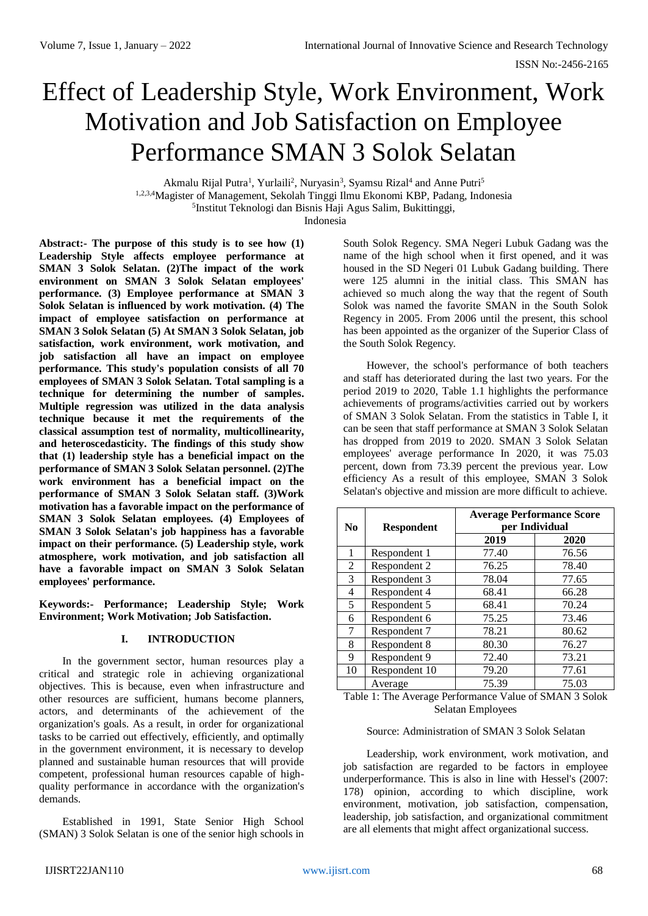# Effect of Leadership Style, Work Environment, Work Motivation and Job Satisfaction on Employee Performance SMAN 3 Solok Selatan

Akmalu Rijal Putra<sup>1</sup>, Yurlaili<sup>2</sup>, Nuryasin<sup>3</sup>, Syamsu Rizal<sup>4</sup> and Anne Putri<sup>5</sup> 1,2,3,4Magister of Management, Sekolah Tinggi Ilmu Ekonomi KBP, Padang, Indonesia 5 Institut Teknologi dan Bisnis Haji Agus Salim, Bukittinggi, Indonesia

**Abstract:- The purpose of this study is to see how (1) Leadership Style affects employee performance at SMAN 3 Solok Selatan. (2)The impact of the work environment on SMAN 3 Solok Selatan employees' performance. (3) Employee performance at SMAN 3 Solok Selatan is influenced by work motivation. (4) The impact of employee satisfaction on performance at SMAN 3 Solok Selatan (5) At SMAN 3 Solok Selatan, job satisfaction, work environment, work motivation, and job satisfaction all have an impact on employee performance. This study's population consists of all 70 employees of SMAN 3 Solok Selatan. Total sampling is a technique for determining the number of samples. Multiple regression was utilized in the data analysis technique because it met the requirements of the classical assumption test of normality, multicollinearity, and heteroscedasticity. The findings of this study show that (1) leadership style has a beneficial impact on the performance of SMAN 3 Solok Selatan personnel. (2)The work environment has a beneficial impact on the performance of SMAN 3 Solok Selatan staff. (3)Work motivation has a favorable impact on the performance of SMAN 3 Solok Selatan employees. (4) Employees of SMAN 3 Solok Selatan's job happiness has a favorable impact on their performance. (5) Leadership style, work atmosphere, work motivation, and job satisfaction all have a favorable impact on SMAN 3 Solok Selatan employees' performance.**

**Keywords:- Performance; Leadership Style; Work Environment; Work Motivation; Job Satisfaction.**

## **I. INTRODUCTION**

In the government sector, human resources play a critical and strategic role in achieving organizational objectives. This is because, even when infrastructure and other resources are sufficient, humans become planners, actors, and determinants of the achievement of the organization's goals. As a result, in order for organizational tasks to be carried out effectively, efficiently, and optimally in the government environment, it is necessary to develop planned and sustainable human resources that will provide competent, professional human resources capable of highquality performance in accordance with the organization's demands.

Established in 1991, State Senior High School (SMAN) 3 Solok Selatan is one of the senior high schools in South Solok Regency. SMA Negeri Lubuk Gadang was the name of the high school when it first opened, and it was housed in the SD Negeri 01 Lubuk Gadang building. There were 125 alumni in the initial class. This SMAN has achieved so much along the way that the regent of South Solok was named the favorite SMAN in the South Solok Regency in 2005. From 2006 until the present, this school has been appointed as the organizer of the Superior Class of the South Solok Regency.

However, the school's performance of both teachers and staff has deteriorated during the last two years. For the period 2019 to 2020, Table 1.1 highlights the performance achievements of programs/activities carried out by workers of SMAN 3 Solok Selatan. From the statistics in Table I, it can be seen that staff performance at SMAN 3 Solok Selatan has dropped from 2019 to 2020. SMAN 3 Solok Selatan employees' average performance In 2020, it was 75.03 percent, down from 73.39 percent the previous year. Low efficiency As a result of this employee, SMAN 3 Solok Selatan's objective and mission are more difficult to achieve.

| N <sub>0</sub> | <b>Respondent</b> | <b>Average Performance Score</b><br>per Individual |       |  |  |
|----------------|-------------------|----------------------------------------------------|-------|--|--|
|                |                   | 2019                                               | 2020  |  |  |
| 1              | Respondent 1      | 77.40                                              | 76.56 |  |  |
| 2              | Respondent 2      | 76.25                                              | 78.40 |  |  |
| 3              | Respondent 3      | 78.04                                              | 77.65 |  |  |
| 4              | Respondent 4      | 68.41                                              | 66.28 |  |  |
| 5              | Respondent 5      | 68.41                                              | 70.24 |  |  |
| 6              | Respondent 6      | 75.25                                              | 73.46 |  |  |
| 7              | Respondent 7      | 78.21                                              | 80.62 |  |  |
| 8              | Respondent 8      | 80.30                                              | 76.27 |  |  |
| 9              | Respondent 9      | 72.40                                              | 73.21 |  |  |
| 10             | Respondent 10     | 79.20                                              | 77.61 |  |  |
|                | Average           | 75.39                                              | 75.03 |  |  |

Table 1: The Average Performance Value of SMAN 3 Solok Selatan Employees

Source: Administration of SMAN 3 Solok Selatan

Leadership, work environment, work motivation, and job satisfaction are regarded to be factors in employee underperformance. This is also in line with Hessel's (2007: 178) opinion, according to which discipline, work environment, motivation, job satisfaction, compensation, leadership, job satisfaction, and organizational commitment are all elements that might affect organizational success.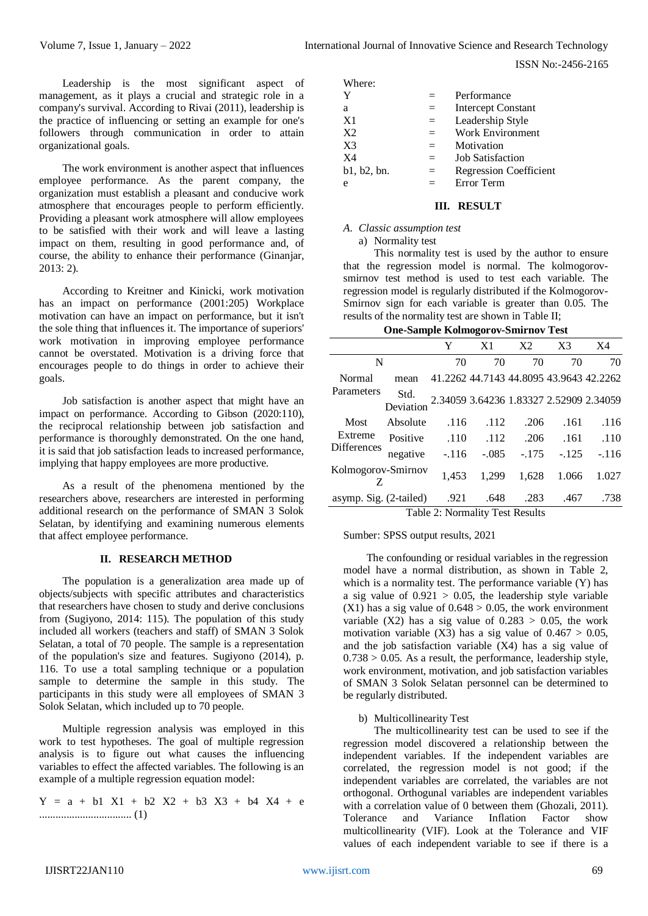Leadership is the most significant aspect of management, as it plays a crucial and strategic role in a company's survival. According to Rivai (2011), leadership is the practice of influencing or setting an example for one's followers through communication in order to attain organizational goals.

The work environment is another aspect that influences employee performance. As the parent company, the organization must establish a pleasant and conducive work atmosphere that encourages people to perform efficiently. Providing a pleasant work atmosphere will allow employees to be satisfied with their work and will leave a lasting impact on them, resulting in good performance and, of course, the ability to enhance their performance (Ginanjar, 2013: 2).

According to Kreitner and Kinicki, work motivation has an impact on performance (2001:205) Workplace motivation can have an impact on performance, but it isn't the sole thing that influences it. The importance of superiors' work motivation in improving employee performance cannot be overstated. Motivation is a driving force that encourages people to do things in order to achieve their goals.

Job satisfaction is another aspect that might have an impact on performance. According to Gibson (2020:110), the reciprocal relationship between job satisfaction and performance is thoroughly demonstrated. On the one hand, it is said that job satisfaction leads to increased performance, implying that happy employees are more productive.

As a result of the phenomena mentioned by the researchers above, researchers are interested in performing additional research on the performance of SMAN 3 Solok Selatan, by identifying and examining numerous elements that affect employee performance.

#### **II. RESEARCH METHOD**

The population is a generalization area made up of objects/subjects with specific attributes and characteristics that researchers have chosen to study and derive conclusions from (Sugiyono, 2014: 115). The population of this study included all workers (teachers and staff) of SMAN 3 Solok Selatan, a total of 70 people. The sample is a representation of the population's size and features. Sugiyono (2014), p. 116. To use a total sampling technique or a population sample to determine the sample in this study. The participants in this study were all employees of SMAN 3 Solok Selatan, which included up to 70 people.

Multiple regression analysis was employed in this work to test hypotheses. The goal of multiple regression analysis is to figure out what causes the influencing variables to effect the affected variables. The following is an example of a multiple regression equation model:

 $Y = a + b1 X1 + b2 X2 + b3 X3 + b4 X4 + e$ .................................. (1)

Where:  $Y = Performance$ a = Intercept Constant  $X1 =$  Leadership Style X2 = Work Environment  $X3 = Motivation$  $X4 =$  Job Satisfaction  $b1, b2, bn.$  = Regression Coefficient  $e =$  Error Term

### **III. RESULT**

# *A. Classic assumption test*

a) Normality test

This normality test is used by the author to ensure that the regression model is normal. The kolmogorovsmirnov test method is used to test each variable. The regression model is regularly distributed if the Kolmogorov-Smirnov sign for each variable is greater than 0.05. The results of the normality test are shown in Table II;

|                                   |                   | Y     | X1      | X2      | X <sub>3</sub> | X <sub>4</sub>                          |
|-----------------------------------|-------------------|-------|---------|---------|----------------|-----------------------------------------|
| N                                 |                   | 70    | 70      | 70      | 70             | 70                                      |
| Normal                            | mean              |       |         |         |                | 41.2262 44.7143 44.8095 43.9643 42.2262 |
| Parameters                        | Std.<br>Deviation |       |         |         |                | 2.34059 3.64236 1.83327 2.52909 2.34059 |
| Most                              | Absolute          | .116  | .112    | .206    | .161           | .116                                    |
| Extreme                           | Positive          | .110  | .112    | .206    | .161           | .110                                    |
| <b>Differences</b>                | negative -.116    |       | $-.085$ | $-.175$ | $-.125$        | $-.116$                                 |
| Kolmogorov-Smirnov<br>Z           |                   | 1.453 | 1,299   | 1,628   | 1.066          | 1.027                                   |
| asymp. Sig. $(2$ -tailed $)$ .921 |                   |       | .648    | .283    | .467           | .738                                    |
| Table 2: Normality Test Results   |                   |       |         |         |                |                                         |

### Sumber: SPSS output results, 2021

The confounding or residual variables in the regression model have a normal distribution, as shown in Table 2, which is a normality test. The performance variable (Y) has a sig value of  $0.921 > 0.05$ , the leadership style variable  $(X1)$  has a sig value of  $0.648 > 0.05$ , the work environment variable (X2) has a sig value of  $0.283 > 0.05$ , the work motivation variable (X3) has a sig value of  $0.467 > 0.05$ , and the job satisfaction variable (X4) has a sig value of  $0.738 > 0.05$ . As a result, the performance, leadership style, work environment, motivation, and job satisfaction variables of SMAN 3 Solok Selatan personnel can be determined to be regularly distributed.

b) Multicollinearity Test

The multicollinearity test can be used to see if the regression model discovered a relationship between the independent variables. If the independent variables are correlated, the regression model is not good; if the independent variables are correlated, the variables are not orthogonal. Orthogunal variables are independent variables with a correlation value of 0 between them (Ghozali, 2011). Tolerance and Variance Inflation Factor show multicollinearity (VIF). Look at the Tolerance and VIF values of each independent variable to see if there is a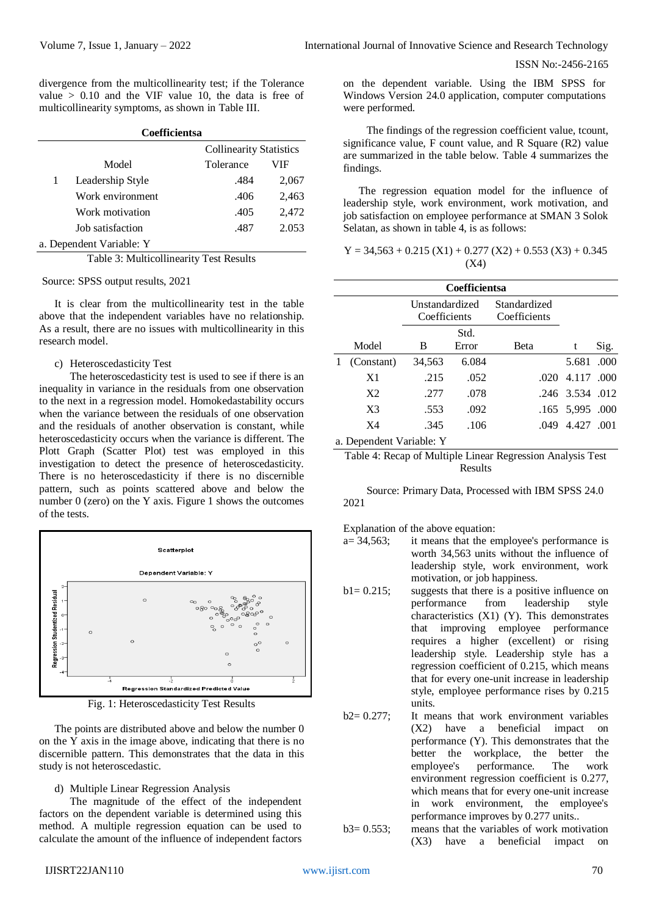divergence from the multicollinearity test; if the Tolerance value  $> 0.10$  and the VIF value 10, the data is free of multicollinearity symptoms, as shown in Table III.

| Coefficientsa            |                                |           |       |  |  |
|--------------------------|--------------------------------|-----------|-------|--|--|
|                          | <b>Collinearity Statistics</b> |           |       |  |  |
|                          | Model                          | Tolerance | VIF   |  |  |
|                          | Leadership Style               | .484      | 2,067 |  |  |
|                          | Work environment               | .406      | 2,463 |  |  |
|                          | Work motivation                | .405      | 2,472 |  |  |
|                          | Job satisfaction               | .487      | 2.053 |  |  |
| a. Dependent Variable: Y |                                |           |       |  |  |

Table 3: Multicollinearity Test Results

Source: SPSS output results, 2021

It is clear from the multicollinearity test in the table above that the independent variables have no relationship. As a result, there are no issues with multicollinearity in this research model.

# c) Heteroscedasticity Test

The heteroscedasticity test is used to see if there is an inequality in variance in the residuals from one observation to the next in a regression model. Homokedastability occurs when the variance between the residuals of one observation and the residuals of another observation is constant, while heteroscedasticity occurs when the variance is different. The Plott Graph (Scatter Plot) test was employed in this investigation to detect the presence of heteroscedasticity. There is no heteroscedasticity if there is no discernible pattern, such as points scattered above and below the number 0 (zero) on the Y axis. Figure 1 shows the outcomes of the tests.



Fig. 1: Heteroscedasticity Test Results

The points are distributed above and below the number 0 on the Y axis in the image above, indicating that there is no discernible pattern. This demonstrates that the data in this study is not heteroscedastic.

d) Multiple Linear Regression Analysis

The magnitude of the effect of the independent factors on the dependent variable is determined using this method. A multiple regression equation can be used to calculate the amount of the influence of independent factors

on the dependent variable. Using the IBM SPSS for Windows Version 24.0 application, computer computations were performed.

The findings of the regression coefficient value, tcount, significance value, F count value, and R Square (R2) value are summarized in the table below. Table 4 summarizes the findings.

The regression equation model for the influence of leadership style, work environment, work motivation, and job satisfaction on employee performance at SMAN 3 Solok Selatan, as shown in table 4, is as follows:

$$
Y=34,563+0.215(X1)+0.277(X2)+0.553(X3)+0.345(X4)
$$

| <b>Coefficientsa</b>                       |                                |       |                              |                 |      |  |  |
|--------------------------------------------|--------------------------------|-------|------------------------------|-----------------|------|--|--|
|                                            | Unstandardized<br>Coefficients |       | Standardized<br>Coefficients |                 |      |  |  |
|                                            |                                | Std.  |                              |                 |      |  |  |
| Model                                      | B                              | Error | Beta                         | t               | Sig. |  |  |
| (Constant)                                 | 34,563                         | 6.084 |                              | 5.681           | .000 |  |  |
| X1                                         | .215                           | .052  |                              | .020 4.117 .000 |      |  |  |
| X <sub>2</sub>                             | .277                           | .078  |                              | .246 3.534 .012 |      |  |  |
| X3                                         | .553                           | .092  |                              | .165 5,995 .000 |      |  |  |
| X4                                         | .345                           | .106  |                              | .049 4.427 .001 |      |  |  |
| $\mathbf{D} = \mathbf{1} \cdot \mathbf{V}$ |                                |       |                              |                 |      |  |  |

a. Dependent Variable: Y

Table 4: Recap of Multiple Linear Regression Analysis Test Results

Source: Primary Data, Processed with IBM SPSS 24.0 2021

Explanation of the above equation:

- a= 34,563; it means that the employee's performance is worth 34,563 units without the influence of leadership style, work environment, work motivation, or job happiness.
- $b1 = 0.215$ ; suggests that there is a positive influence on performance from leadership style characteristics (X1) (Y). This demonstrates that improving employee performance requires a higher (excellent) or rising leadership style. Leadership style has a regression coefficient of 0.215, which means that for every one-unit increase in leadership style, employee performance rises by 0.215 units.
- b2= 0.277; It means that work environment variables (X2) have a beneficial impact on performance (Y). This demonstrates that the better the workplace, the better the employee's performance. The work environment regression coefficient is 0.277, which means that for every one-unit increase in work environment, the employee's performance improves by 0.277 units..
- b3= 0.553; means that the variables of work motivation (X3) have a beneficial impact on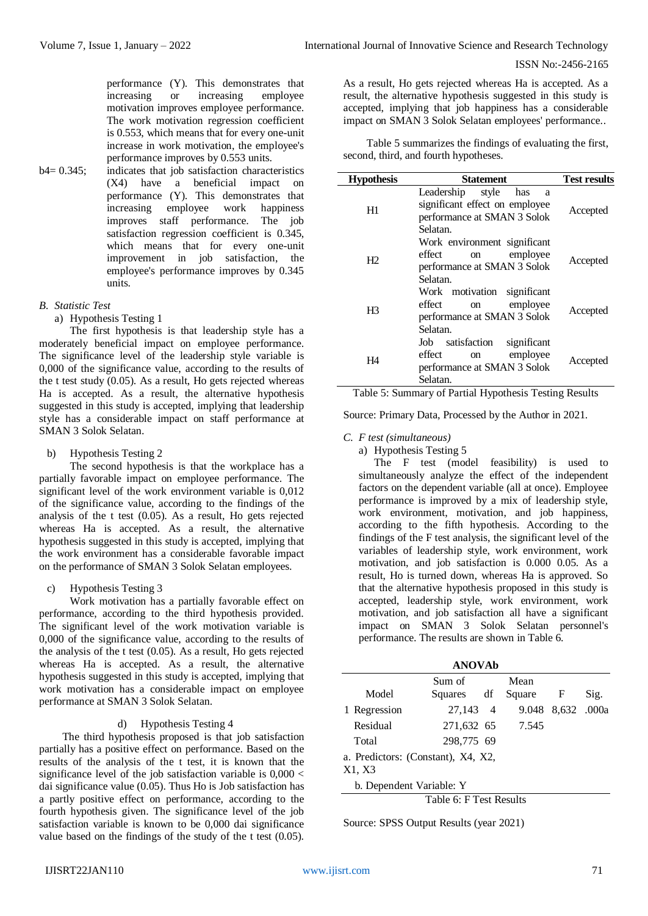performance (Y). This demonstrates that increasing or increasing employee motivation improves employee performance. The work motivation regression coefficient is 0.553, which means that for every one-unit increase in work motivation, the employee's performance improves by 0.553 units.

- b4= 0.345; indicates that job satisfaction characteristics (X4) have a beneficial impact on performance (Y). This demonstrates that increasing employee work happiness improves staff performance. The job satisfaction regression coefficient is 0.345, which means that for every one-unit improvement in job satisfaction, the employee's performance improves by 0.345 units.
- *B. Statistic Test* 
	- a) Hypothesis Testing 1

The first hypothesis is that leadership style has a moderately beneficial impact on employee performance. The significance level of the leadership style variable is 0,000 of the significance value, according to the results of the t test study  $(0.05)$ . As a result, Ho gets rejected whereas Ha is accepted. As a result, the alternative hypothesis suggested in this study is accepted, implying that leadership style has a considerable impact on staff performance at SMAN 3 Solok Selatan.

b) Hypothesis Testing 2

The second hypothesis is that the workplace has a partially favorable impact on employee performance. The significant level of the work environment variable is 0,012 of the significance value, according to the findings of the analysis of the t test (0.05). As a result, Ho gets rejected whereas Ha is accepted. As a result, the alternative hypothesis suggested in this study is accepted, implying that the work environment has a considerable favorable impact on the performance of SMAN 3 Solok Selatan employees.

c) Hypothesis Testing 3

Work motivation has a partially favorable effect on performance, according to the third hypothesis provided. The significant level of the work motivation variable is 0,000 of the significance value, according to the results of the analysis of the t test (0.05). As a result, Ho gets rejected whereas Ha is accepted. As a result, the alternative hypothesis suggested in this study is accepted, implying that work motivation has a considerable impact on employee performance at SMAN 3 Solok Selatan.

# d) Hypothesis Testing 4

The third hypothesis proposed is that job satisfaction partially has a positive effect on performance. Based on the results of the analysis of the t test, it is known that the significance level of the job satisfaction variable is  $0,000 <$ dai significance value (0.05). Thus Ho is Job satisfaction has a partly positive effect on performance, according to the fourth hypothesis given. The significance level of the job satisfaction variable is known to be 0,000 dai significance value based on the findings of the study of the t test (0.05).

As a result, Ho gets rejected whereas Ha is accepted. As a result, the alternative hypothesis suggested in this study is accepted, implying that job happiness has a considerable impact on SMAN 3 Solok Selatan employees' performance..

Table 5 summarizes the findings of evaluating the first, second, third, and fourth hypotheses.

| <b>Hypothesis</b> | <b>Statement</b>                                                                                               | <b>Test results</b> |
|-------------------|----------------------------------------------------------------------------------------------------------------|---------------------|
| H1                | Leadership<br>style<br>has<br>a<br>significant effect on employee<br>performance at SMAN 3 Solok<br>Selatan.   | Accepted            |
| H2                | Work environment significant<br>effect<br>employee<br><sub>on</sub><br>performance at SMAN 3 Solok<br>Selatan. | Accepted            |
| H <sub>3</sub>    | Work motivation significant<br>effect<br>employee<br>on<br>performance at SMAN 3 Solok<br>Selatan.             | Accepted            |
| H4                | satisfaction<br>significant<br>Job<br>effect<br>employee<br>on<br>performance at SMAN 3 Solok<br>Selatan.      | Accepted            |

Table 5: Summary of Partial Hypothesis Testing Results

Source: Primary Data, Processed by the Author in 2021.

# *C. F test (simultaneous)*

a) Hypothesis Testing 5

The F test (model feasibility) is used to simultaneously analyze the effect of the independent factors on the dependent variable (all at once). Employee performance is improved by a mix of leadership style, work environment, motivation, and job happiness, according to the fifth hypothesis. According to the findings of the F test analysis, the significant level of the variables of leadership style, work environment, work motivation, and job satisfaction is 0.000 0.05. As a result, Ho is turned down, whereas Ha is approved. So that the alternative hypothesis proposed in this study is accepted, leadership style, work environment, work motivation, and job satisfaction all have a significant impact on SMAN 3 Solok Selatan personnel's performance. The results are shown in Table 6.

| ANOVAb                                       |            |    |        |       |       |  |
|----------------------------------------------|------------|----|--------|-------|-------|--|
|                                              | Sum of     |    | Mean   |       |       |  |
| Model                                        | Squares    | df | Square | F     | Sig.  |  |
| 1 Regression                                 | 27,143 4   |    | 9.048  | 8,632 | .000a |  |
| Residual                                     | 271,632 65 |    | 7.545  |       |       |  |
| Total                                        | 298,775 69 |    |        |       |       |  |
| a. Predictors: (Constant), X4, X2,<br>X1, X3 |            |    |        |       |       |  |
| b. Dependent Variable: Y                     |            |    |        |       |       |  |

Table 6: F Test Results

Source: SPSS Output Results (year 2021)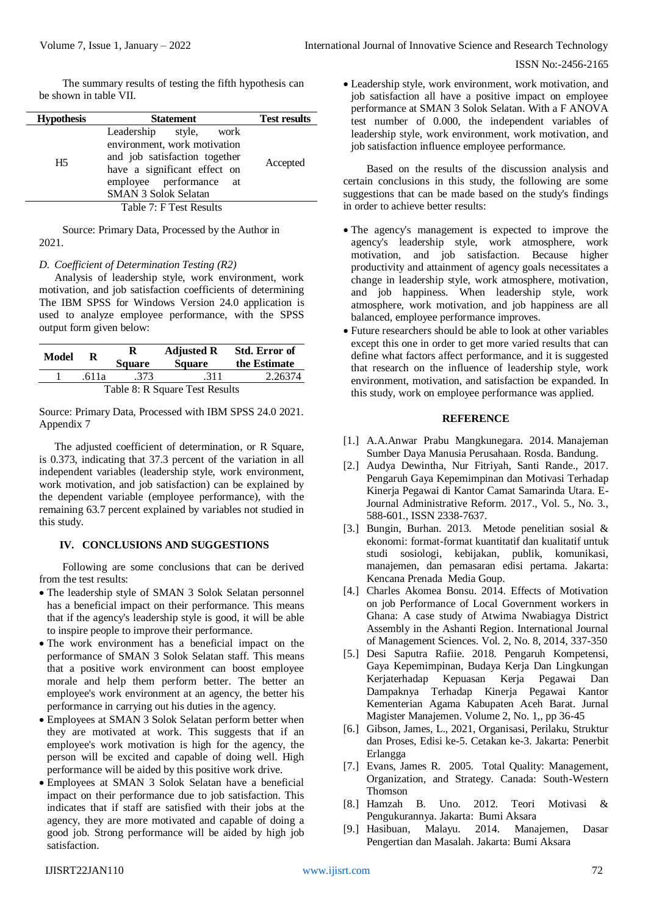The summary results of testing the fifth hypothesis can be shown in table VII.

| <b>Hypothesis</b> | <b>Statement</b>                                                                                                                                                                  | <b>Test results</b> |
|-------------------|-----------------------------------------------------------------------------------------------------------------------------------------------------------------------------------|---------------------|
| H <sub>5</sub>    | Leadership style, work<br>environment, work motivation<br>and job satisfaction together<br>have a significant effect on<br>employee performance at<br><b>SMAN 3 Solok Selatan</b> | Accepted            |
|                   | Table 7: F Test Results                                                                                                                                                           |                     |

Source: Primary Data, Processed by the Author in 2021.

### *D. Coefficient of Determination Testing (R2)*

Analysis of leadership style, work environment, work motivation, and job satisfaction coefficients of determining The IBM SPSS for Windows Version 24.0 application is used to analyze employee performance, with the SPSS output form given below:

| Model                          | R     | R<br><b>Square</b> | <b>Adjusted R</b><br><b>Square</b> | <b>Std. Error of</b><br>the Estimate |  |  |
|--------------------------------|-------|--------------------|------------------------------------|--------------------------------------|--|--|
|                                | .611a | .373               | .311                               | 2.26374                              |  |  |
| Table 8: R Square Test Results |       |                    |                                    |                                      |  |  |

Source: Primary Data, Processed with IBM SPSS 24.0 2021. Appendix 7

The adjusted coefficient of determination, or R Square, is 0.373, indicating that 37.3 percent of the variation in all independent variables (leadership style, work environment, work motivation, and job satisfaction) can be explained by the dependent variable (employee performance), with the remaining 63.7 percent explained by variables not studied in this study.

# **IV. CONCLUSIONS AND SUGGESTIONS**

Following are some conclusions that can be derived from the test results:

- The leadership style of SMAN 3 Solok Selatan personnel has a beneficial impact on their performance. This means that if the agency's leadership style is good, it will be able to inspire people to improve their performance.
- The work environment has a beneficial impact on the performance of SMAN 3 Solok Selatan staff. This means that a positive work environment can boost employee morale and help them perform better. The better an employee's work environment at an agency, the better his performance in carrying out his duties in the agency.
- Employees at SMAN 3 Solok Selatan perform better when they are motivated at work. This suggests that if an employee's work motivation is high for the agency, the person will be excited and capable of doing well. High performance will be aided by this positive work drive.
- Employees at SMAN 3 Solok Selatan have a beneficial impact on their performance due to job satisfaction. This indicates that if staff are satisfied with their jobs at the agency, they are more motivated and capable of doing a good job. Strong performance will be aided by high job satisfaction.

 Leadership style, work environment, work motivation, and job satisfaction all have a positive impact on employee performance at SMAN 3 Solok Selatan. With a F ANOVA test number of 0.000, the independent variables of leadership style, work environment, work motivation, and job satisfaction influence employee performance.

Based on the results of the discussion analysis and certain conclusions in this study, the following are some suggestions that can be made based on the study's findings in order to achieve better results:

- The agency's management is expected to improve the agency's leadership style, work atmosphere, work motivation, and job satisfaction. Because higher productivity and attainment of agency goals necessitates a change in leadership style, work atmosphere, motivation, and job happiness. When leadership style, work atmosphere, work motivation, and job happiness are all balanced, employee performance improves.
- Future researchers should be able to look at other variables except this one in order to get more varied results that can define what factors affect performance, and it is suggested that research on the influence of leadership style, work environment, motivation, and satisfaction be expanded. In this study, work on employee performance was applied.

### **REFERENCE**

- [1.] A.A.Anwar Prabu Mangkunegara. 2014. Manajeman Sumber Daya Manusia Perusahaan. Rosda. Bandung.
- [2.] Audya Dewintha, Nur Fitriyah, Santi Rande., 2017. Pengaruh Gaya Kepemimpinan dan Motivasi Terhadap Kinerja Pegawai di Kantor Camat Samarinda Utara. E-Journal Administrative Reform. 2017., Vol. 5., No. 3., 588-601., ISSN 2338-7637.
- [3.] Bungin, Burhan. 2013. Metode penelitian sosial & ekonomi: format-format kuantitatif dan kualitatif untuk studi sosiologi, kebijakan, publik, komunikasi, manajemen, dan pemasaran edisi pertama. Jakarta: Kencana Prenada Media Goup.
- [4.] Charles Akomea Bonsu. 2014. Effects of Motivation on job Performance of Local Government workers in Ghana: A case study of Atwima Nwabiagya District Assembly in the Ashanti Region. International Journal of Management Sciences. Vol. 2, No. 8, 2014, 337-350
- [5.] Desi Saputra Rafiie. 2018. Pengaruh Kompetensi, Gaya Kepemimpinan, Budaya Kerja Dan Lingkungan Kerjaterhadap Kepuasan Kerja Pegawai Dan Dampaknya Terhadap Kinerja Pegawai Kantor Kementerian Agama Kabupaten Aceh Barat. Jurnal Magister Manajemen. Volume 2, No. 1,, pp 36-45
- [6.] Gibson, James, L., 2021, Organisasi, Perilaku, Struktur dan Proses, Edisi ke-5. Cetakan ke-3. Jakarta: Penerbit Erlangga
- [7.] Evans, James R. 2005. Total Quality: Management, Organization, and Strategy. Canada: South-Western Thomson
- [8.] Hamzah B. Uno. 2012. Teori Motivasi & Pengukurannya. Jakarta: Bumi Aksara
- [9.] Hasibuan, Malayu. 2014. Manajemen, Dasar Pengertian dan Masalah. Jakarta: Bumi Aksara